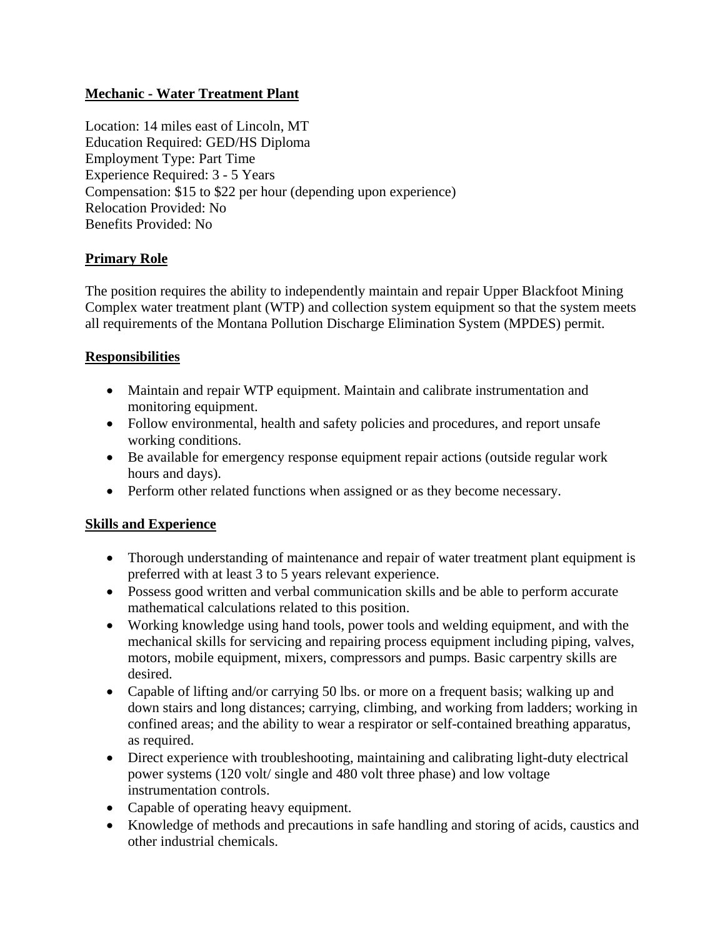# **Mechanic - Water Treatment Plant**

Location: 14 miles east of Lincoln, MT Education Required: GED/HS Diploma Employment Type: Part Time Experience Required: 3 - 5 Years Compensation: \$15 to \$22 per hour (depending upon experience) Relocation Provided: No Benefits Provided: No

# **Primary Role**

The position requires the ability to independently maintain and repair Upper Blackfoot Mining Complex water treatment plant (WTP) and collection system equipment so that the system meets all requirements of the Montana Pollution Discharge Elimination System (MPDES) permit.

### **Responsibilities**

- Maintain and repair WTP equipment. Maintain and calibrate instrumentation and monitoring equipment.
- Follow environmental, health and safety policies and procedures, and report unsafe working conditions.
- Be available for emergency response equipment repair actions (outside regular work hours and days).
- Perform other related functions when assigned or as they become necessary.

### **Skills and Experience**

- Thorough understanding of maintenance and repair of water treatment plant equipment is preferred with at least 3 to 5 years relevant experience.
- Possess good written and verbal communication skills and be able to perform accurate mathematical calculations related to this position.
- Working knowledge using hand tools, power tools and welding equipment, and with the mechanical skills for servicing and repairing process equipment including piping, valves, motors, mobile equipment, mixers, compressors and pumps. Basic carpentry skills are desired.
- Capable of lifting and/or carrying 50 lbs. or more on a frequent basis; walking up and down stairs and long distances; carrying, climbing, and working from ladders; working in confined areas; and the ability to wear a respirator or self-contained breathing apparatus, as required.
- Direct experience with troubleshooting, maintaining and calibrating light-duty electrical power systems (120 volt/ single and 480 volt three phase) and low voltage instrumentation controls.
- Capable of operating heavy equipment.
- Knowledge of methods and precautions in safe handling and storing of acids, caustics and other industrial chemicals.